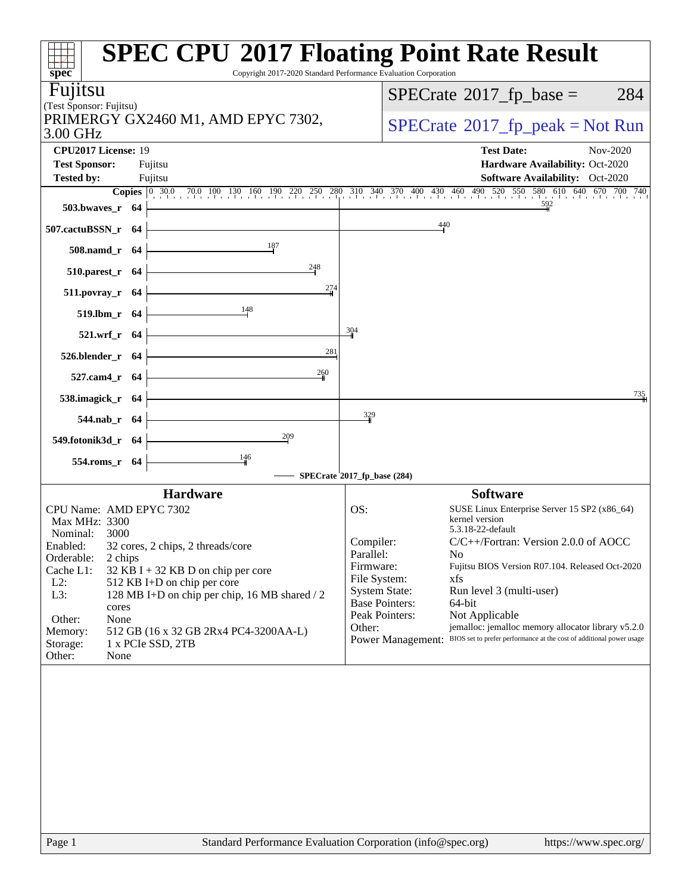|                                             | <b>SPEC CPU®2017 Floating Point Rate Result</b>                                                                    |                                           |                                                                      |
|---------------------------------------------|--------------------------------------------------------------------------------------------------------------------|-------------------------------------------|----------------------------------------------------------------------|
| spec <sup>®</sup>                           | Copyright 2017-2020 Standard Performance Evaluation Corporation                                                    |                                           |                                                                      |
| Fujitsu<br>(Test Sponsor: Fujitsu)          |                                                                                                                    |                                           | $SPECTate$ <sup>®</sup> 2017_fp_base =<br>284                        |
| 3.00 GHz                                    | PRIMERGY GX2460 M1, AMD EPYC 7302,                                                                                 |                                           | $SPECTate@2017fr peak = Not Run$                                     |
| CPU2017 License: 19<br><b>Test Sponsor:</b> | Fujitsu                                                                                                            |                                           | <b>Test Date:</b><br>Nov-2020<br>Hardware Availability: Oct-2020     |
| <b>Tested by:</b>                           | Fujitsu                                                                                                            |                                           | <b>Software Availability:</b> Oct-2020                               |
| 503.bwaves_r                                | Copies 0 30.0 70.0 100 130 160 190 220 250 280 310 340 370 400 430 460 490 520 550 580 610 640 670 700 740<br>- 64 |                                           |                                                                      |
| 507.cactuBSSN_r 64                          |                                                                                                                    | 440                                       |                                                                      |
| 508.namd_r 64                               | 187                                                                                                                |                                           |                                                                      |
| 510.parest_r 64                             | 248                                                                                                                |                                           |                                                                      |
| 511.povray_r 64                             | 274                                                                                                                |                                           |                                                                      |
| 519.lbm_r 64                                | 148                                                                                                                |                                           |                                                                      |
| 521.wrf_r 64                                |                                                                                                                    | 304                                       |                                                                      |
| 526.blender r 64                            | 281                                                                                                                |                                           |                                                                      |
| 527.cam4_r 64                               | 260                                                                                                                |                                           |                                                                      |
| 538.imagick_r 64                            |                                                                                                                    |                                           | 735                                                                  |
| 544.nab_r 64                                |                                                                                                                    | $\frac{329}{4}$                           |                                                                      |
| 549.fotonik3d_r 64                          | 209                                                                                                                |                                           |                                                                      |
| 554.roms_r 64                               | 146                                                                                                                |                                           |                                                                      |
|                                             |                                                                                                                    | SPECrate <sup>\$</sup> 2017_fp_base (284) |                                                                      |
|                                             | <b>Hardware</b>                                                                                                    |                                           | <b>Software</b>                                                      |
| Max MHz: 3300                               | CPU Name: AMD EPYC 7302                                                                                            | OS:                                       | SUSE Linux Enterprise Server 15 SP2 (x86_64)<br>kernel version       |
| Nominal:                                    | 3000                                                                                                               |                                           | 5.3.18-22-default                                                    |
| Enabled:                                    | 32 cores, 2 chips, 2 threads/core                                                                                  | Compiler:<br>Parallel:                    | $C/C++/Fortran$ : Version 2.0.0 of AOCC<br>No                        |
| Orderable:                                  | 2 chips                                                                                                            | Firmware:                                 | Fujitsu BIOS Version R07.104. Released Oct-2020                      |
| Cache L1:<br>$L2$ :                         | $32$ KB I + 32 KB D on chip per core<br>512 KB I+D on chip per core                                                | File System:                              | xfs                                                                  |
| L3:                                         | 128 MB I+D on chip per chip, 16 MB shared / 2                                                                      | <b>System State:</b>                      | Run level 3 (multi-user)                                             |
|                                             | cores                                                                                                              | <b>Base Pointers:</b>                     | 64-bit                                                               |
| Other:                                      | None                                                                                                               | Peak Pointers:                            | Not Applicable                                                       |
| Memory:                                     | 512 GB (16 x 32 GB 2Rx4 PC4-3200AA-L)                                                                              | Other:                                    | jemalloc: jemalloc memory allocator library v5.2.0                   |
| Storage:                                    | 1 x PCIe SSD, 2TB                                                                                                  | <b>Power Management:</b>                  | BIOS set to prefer performance at the cost of additional power usage |
| Other:                                      | None                                                                                                               |                                           |                                                                      |
|                                             |                                                                                                                    |                                           |                                                                      |
|                                             |                                                                                                                    |                                           |                                                                      |
|                                             |                                                                                                                    |                                           |                                                                      |
| Page 1                                      | Standard Performance Evaluation Corporation (info@spec.org)                                                        |                                           | https://www.spec.org/                                                |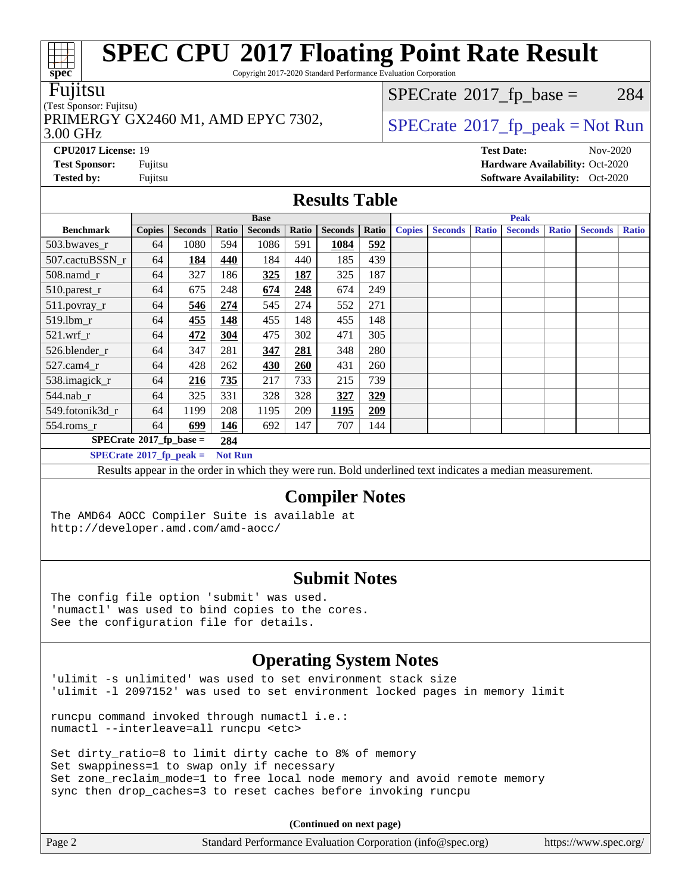Copyright 2017-2020 Standard Performance Evaluation Corporation

#### Fujitsu

#### (Test Sponsor: Fujitsu)

3.00 GHz PRIMERGY GX2460 M1, AMD EPYC 7302,  $\vert$  [SPECrate](http://www.spec.org/auto/cpu2017/Docs/result-fields.html#SPECrate2017fppeak)®[2017\\_fp\\_peak = N](http://www.spec.org/auto/cpu2017/Docs/result-fields.html#SPECrate2017fppeak)ot Run

 $SPECTate$ <sup>®</sup>[2017\\_fp\\_base =](http://www.spec.org/auto/cpu2017/Docs/result-fields.html#SPECrate2017fpbase) 284

**[CPU2017 License:](http://www.spec.org/auto/cpu2017/Docs/result-fields.html#CPU2017License)** 19 **[Test Date:](http://www.spec.org/auto/cpu2017/Docs/result-fields.html#TestDate)** Nov-2020

**[Test Sponsor:](http://www.spec.org/auto/cpu2017/Docs/result-fields.html#TestSponsor)** Fujitsu **[Hardware Availability:](http://www.spec.org/auto/cpu2017/Docs/result-fields.html#HardwareAvailability)** Oct-2020 **[Tested by:](http://www.spec.org/auto/cpu2017/Docs/result-fields.html#Testedby)** Fujitsu **Fugital Exception Contract Contract Contract Contract Contract Contract Contract Contract Contract Contract Contract Contract Contract Contract Contract Contract Contract Contract Contract Contract Co** 

### **[Results Table](http://www.spec.org/auto/cpu2017/Docs/result-fields.html#ResultsTable)**

| <b>Base</b>                               |               |                |                | <b>Peak</b>    |            |                |       |               |                |              |                |              |                |              |
|-------------------------------------------|---------------|----------------|----------------|----------------|------------|----------------|-------|---------------|----------------|--------------|----------------|--------------|----------------|--------------|
| <b>Benchmark</b>                          | <b>Copies</b> | <b>Seconds</b> | Ratio          | <b>Seconds</b> | Ratio      | <b>Seconds</b> | Ratio | <b>Copies</b> | <b>Seconds</b> | <b>Ratio</b> | <b>Seconds</b> | <b>Ratio</b> | <b>Seconds</b> | <b>Ratio</b> |
| 503.bwaves_r                              | 64            | 1080           | 594            | 1086           | 591        | 1084           | 592   |               |                |              |                |              |                |              |
| 507.cactuBSSN r                           | 64            | 184            | 440            | 184            | 440        | 185            | 439   |               |                |              |                |              |                |              |
| $508$ .namd_r                             | 64            | 327            | 186            | 325            | 187        | 325            | 187   |               |                |              |                |              |                |              |
| $510$ .parest_r                           | 64            | 675            | 248            | 674            | 248        | 674            | 249   |               |                |              |                |              |                |              |
| 511.povray_r                              | 64            | 546            | 274            | 545            | 274        | 552            | 271   |               |                |              |                |              |                |              |
| 519.1bm_r                                 | 64            | 455            | 148            | 455            | 148        | 455            | 148   |               |                |              |                |              |                |              |
| $521.wrf_r$                               | 64            | 472            | 304            | 475            | 302        | 471            | 305   |               |                |              |                |              |                |              |
| 526.blender r                             | 64            | 347            | 281            | 347            | 281        | 348            | 280   |               |                |              |                |              |                |              |
| $527.cam4_r$                              | 64            | 428            | 262            | 430            | <b>260</b> | 431            | 260   |               |                |              |                |              |                |              |
| 538.imagick_r                             | 64            | 216            | 735            | 217            | 733        | 215            | 739   |               |                |              |                |              |                |              |
| $544$ .nab r                              | 64            | 325            | 331            | 328            | 328        | 327            | 329   |               |                |              |                |              |                |              |
| 549.fotonik3d r                           | 64            | 1199           | 208            | 1195           | 209        | 1195           | 209   |               |                |              |                |              |                |              |
| $554$ .roms_r                             | 64            | 699            | 146            | 692            | 147        | 707            | 144   |               |                |              |                |              |                |              |
| $SPECrate^{\otimes}2017$ fp base =<br>284 |               |                |                |                |            |                |       |               |                |              |                |              |                |              |
| $SPECrate^{\circ}2017$ fp peak =          |               |                | <b>Not Run</b> |                |            |                |       |               |                |              |                |              |                |              |

Results appear in the [order in which they were run](http://www.spec.org/auto/cpu2017/Docs/result-fields.html#RunOrder). Bold underlined text [indicates a median measurement](http://www.spec.org/auto/cpu2017/Docs/result-fields.html#Median).

#### **[Compiler Notes](http://www.spec.org/auto/cpu2017/Docs/result-fields.html#CompilerNotes)**

The AMD64 AOCC Compiler Suite is available at <http://developer.amd.com/amd-aocc/>

#### **[Submit Notes](http://www.spec.org/auto/cpu2017/Docs/result-fields.html#SubmitNotes)**

The config file option 'submit' was used. 'numactl' was used to bind copies to the cores. See the configuration file for details.

### **[Operating System Notes](http://www.spec.org/auto/cpu2017/Docs/result-fields.html#OperatingSystemNotes)**

'ulimit -s unlimited' was used to set environment stack size 'ulimit -l 2097152' was used to set environment locked pages in memory limit

runcpu command invoked through numactl i.e.: numactl --interleave=all runcpu <etc>

Set dirty\_ratio=8 to limit dirty cache to 8% of memory Set swappiness=1 to swap only if necessary Set zone\_reclaim\_mode=1 to free local node memory and avoid remote memory sync then drop\_caches=3 to reset caches before invoking runcpu

**(Continued on next page)**

| Page 2 | Standard Performance Evaluation Corporation (info@spec.org) | https://www.spec.org/ |
|--------|-------------------------------------------------------------|-----------------------|
|        |                                                             |                       |

 $+\ +$ **[spec](http://www.spec.org/)**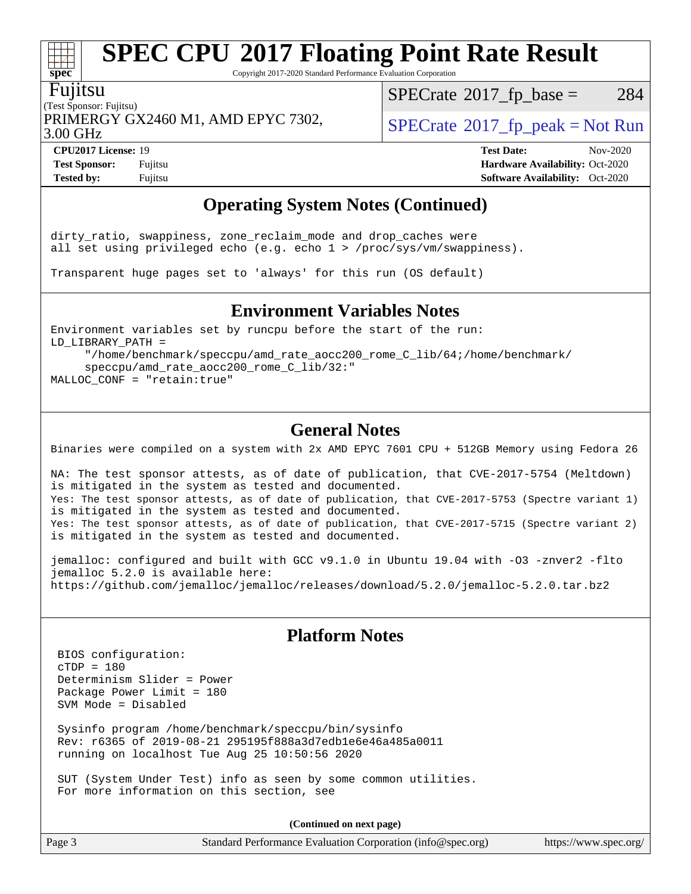Copyright 2017-2020 Standard Performance Evaluation Corporation

#### Fujitsu

**[spec](http://www.spec.org/)**

 $\pm$ 

(Test Sponsor: Fujitsu) PRIMERGY GX2460 M1, AMD EPYC 7302,  $\vert$  [SPECrate](http://www.spec.org/auto/cpu2017/Docs/result-fields.html#SPECrate2017fppeak) 2017 fp peak = Not Run

 $SPECTate$ <sup>®</sup>[2017\\_fp\\_base =](http://www.spec.org/auto/cpu2017/Docs/result-fields.html#SPECrate2017fpbase) 284

3.00 GHz

**[Tested by:](http://www.spec.org/auto/cpu2017/Docs/result-fields.html#Testedby)** Fujitsu **[Software Availability:](http://www.spec.org/auto/cpu2017/Docs/result-fields.html#SoftwareAvailability)** Oct-2020

**[CPU2017 License:](http://www.spec.org/auto/cpu2017/Docs/result-fields.html#CPU2017License)** 19 **[Test Date:](http://www.spec.org/auto/cpu2017/Docs/result-fields.html#TestDate)** Nov-2020 **[Test Sponsor:](http://www.spec.org/auto/cpu2017/Docs/result-fields.html#TestSponsor)** Fujitsu **[Hardware Availability:](http://www.spec.org/auto/cpu2017/Docs/result-fields.html#HardwareAvailability)** Oct-2020

### **[Operating System Notes \(Continued\)](http://www.spec.org/auto/cpu2017/Docs/result-fields.html#OperatingSystemNotes)**

dirty\_ratio, swappiness, zone\_reclaim\_mode and drop\_caches were all set using privileged echo (e.g. echo 1 > /proc/sys/vm/swappiness).

Transparent huge pages set to 'always' for this run (OS default)

#### **[Environment Variables Notes](http://www.spec.org/auto/cpu2017/Docs/result-fields.html#EnvironmentVariablesNotes)**

Environment variables set by runcpu before the start of the run: LD\_LIBRARY\_PATH = "/home/benchmark/speccpu/amd\_rate\_aocc200\_rome\_C\_lib/64;/home/benchmark/ speccpu/amd\_rate\_aocc200\_rome\_C\_lib/32:" MALLOC\_CONF = "retain:true"

#### **[General Notes](http://www.spec.org/auto/cpu2017/Docs/result-fields.html#GeneralNotes)**

Binaries were compiled on a system with 2x AMD EPYC 7601 CPU + 512GB Memory using Fedora 26

NA: The test sponsor attests, as of date of publication, that CVE-2017-5754 (Meltdown) is mitigated in the system as tested and documented. Yes: The test sponsor attests, as of date of publication, that CVE-2017-5753 (Spectre variant 1) is mitigated in the system as tested and documented. Yes: The test sponsor attests, as of date of publication, that CVE-2017-5715 (Spectre variant 2) is mitigated in the system as tested and documented.

jemalloc: configured and built with GCC v9.1.0 in Ubuntu 19.04 with -O3 -znver2 -flto jemalloc 5.2.0 is available here: <https://github.com/jemalloc/jemalloc/releases/download/5.2.0/jemalloc-5.2.0.tar.bz2>

#### **[Platform Notes](http://www.spec.org/auto/cpu2017/Docs/result-fields.html#PlatformNotes)**

 BIOS configuration:  $cTDP = 180$  Determinism Slider = Power Package Power Limit = 180 SVM Mode = Disabled

 Sysinfo program /home/benchmark/speccpu/bin/sysinfo Rev: r6365 of 2019-08-21 295195f888a3d7edb1e6e46a485a0011 running on localhost Tue Aug 25 10:50:56 2020

 SUT (System Under Test) info as seen by some common utilities. For more information on this section, see

**(Continued on next page)**

| Page 3 | Standard Performance Evaluation Corporation (info@spec.org) |  | https://www.spec.org/ |
|--------|-------------------------------------------------------------|--|-----------------------|
|--------|-------------------------------------------------------------|--|-----------------------|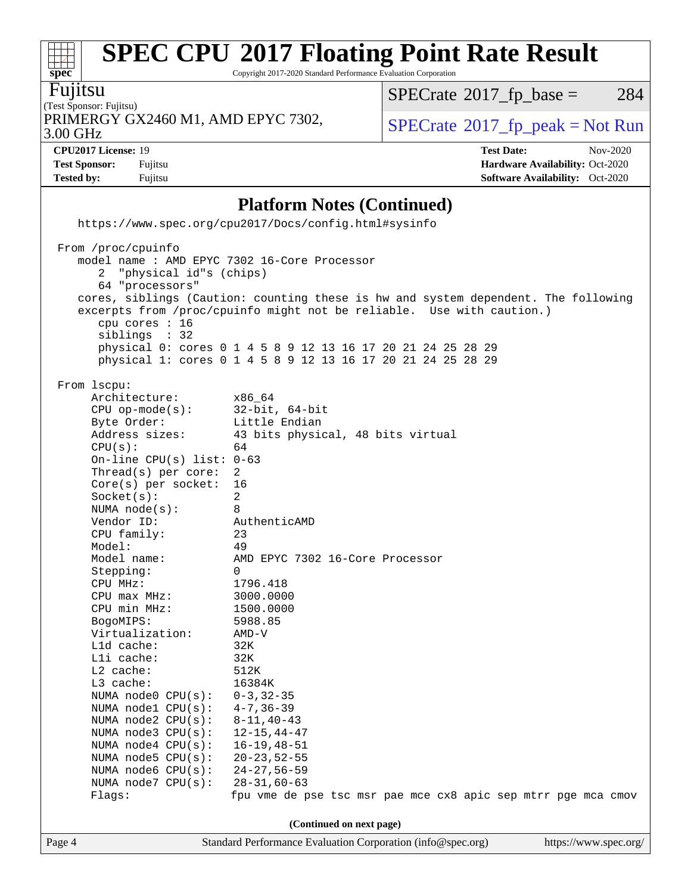Copyright 2017-2020 Standard Performance Evaluation Corporation

Fujitsu

(Test Sponsor: Fujitsu) 3.00 GHz PRIMERGY GX2460 M1, AMD EPYC 7302,  $\vert$  [SPECrate](http://www.spec.org/auto/cpu2017/Docs/result-fields.html#SPECrate2017fppeak) [2017\\_fp\\_peak = N](http://www.spec.org/auto/cpu2017/Docs/result-fields.html#SPECrate2017fppeak)ot Run

 $SPECrate@2017_fp\_base = 284$  $SPECrate@2017_fp\_base = 284$ 

**[CPU2017 License:](http://www.spec.org/auto/cpu2017/Docs/result-fields.html#CPU2017License)** 19 **[Test Date:](http://www.spec.org/auto/cpu2017/Docs/result-fields.html#TestDate)** Nov-2020 **[Test Sponsor:](http://www.spec.org/auto/cpu2017/Docs/result-fields.html#TestSponsor)** Fujitsu **[Hardware Availability:](http://www.spec.org/auto/cpu2017/Docs/result-fields.html#HardwareAvailability)** Oct-2020 **[Tested by:](http://www.spec.org/auto/cpu2017/Docs/result-fields.html#Testedby)** Fujitsu **[Software Availability:](http://www.spec.org/auto/cpu2017/Docs/result-fields.html#SoftwareAvailability)** Oct-2020

#### **[Platform Notes \(Continued\)](http://www.spec.org/auto/cpu2017/Docs/result-fields.html#PlatformNotes)**

|                                                                                                                                                      | https://www.spec.org/cpu2017/Docs/config.html#sysinfo                                                                                                                                                                                                                                     |
|------------------------------------------------------------------------------------------------------------------------------------------------------|-------------------------------------------------------------------------------------------------------------------------------------------------------------------------------------------------------------------------------------------------------------------------------------------|
| From /proc/cpuinfo<br>model name : AMD EPYC 7302 16-Core Processor<br>2 "physical id"s (chips)<br>64 "processors"<br>cpu cores : 16<br>siblings : 32 | cores, siblings (Caution: counting these is hw and system dependent. The following<br>excerpts from /proc/cpuinfo might not be reliable. Use with caution.)<br>physical 0: cores 0 1 4 5 8 9 12 13 16 17 20 21 24 25 28 29<br>physical 1: cores 0 1 4 5 8 9 12 13 16 17 20 21 24 25 28 29 |
| From 1scpu:<br>Architecture:<br>CPU op-mode(s): 32-bit, 64-bit<br>Byte Order: Little Endian                                                          | x86_64                                                                                                                                                                                                                                                                                    |
| CPU(s):<br>On-line CPU(s) list: $0-63$                                                                                                               | Address sizes: 43 bits physical, 48 bits virtual<br>64                                                                                                                                                                                                                                    |
| $Thread(s)$ per core:<br>$Core(s)$ per socket:<br>Socket(s):<br>NUMA node(s):                                                                        | 2<br>16<br>2<br>8                                                                                                                                                                                                                                                                         |
| Vendor ID:<br>CPU family:<br>Model:                                                                                                                  | AuthenticAMD<br>23<br>49                                                                                                                                                                                                                                                                  |
| Model name:<br>Stepping:<br>CPU MHz:                                                                                                                 | AMD EPYC 7302 16-Core Processor<br>$\Omega$<br>1796.418                                                                                                                                                                                                                                   |
| CPU max MHz: 3000.0000<br>CPU min MHz: 1500.0000<br>BogoMIPS:                                                                                        | 5988.85                                                                                                                                                                                                                                                                                   |
| Virtualization:<br>Lld cache:<br>Lli cache:<br>$L2$ cache:                                                                                           | AMD-V<br>32K<br>32K<br>512K                                                                                                                                                                                                                                                               |
| $L3$ cache:<br>16384K<br>NUMA node0 CPU(s): 0-3,32-35<br>NUMA nodel $CPU(s):$ 4-7,36-39                                                              |                                                                                                                                                                                                                                                                                           |
| NUMA node2 CPU(s): 8-11,40-43<br>NUMA node3 CPU(s):<br>NUMA $node4$ $CPU(s):$                                                                        | $12 - 15, 44 - 47$<br>$16 - 19, 48 - 51$                                                                                                                                                                                                                                                  |
| NUMA node5 CPU(s):<br>NUMA node6 CPU(s):<br>NUMA node7 CPU(s):                                                                                       | $20 - 23, 52 - 55$<br>$24 - 27, 56 - 59$<br>$28 - 31,60 - 63$                                                                                                                                                                                                                             |
| Flags:                                                                                                                                               | fpu vme de pse tsc msr pae mce cx8 apic sep mtrr pge mca cmov<br>(Continued on next page)                                                                                                                                                                                                 |
| Page 4                                                                                                                                               | Standard Performance Evaluation Corporation (info@spec.org)<br>https://www.spec.org/                                                                                                                                                                                                      |

**[spec](http://www.spec.org/)**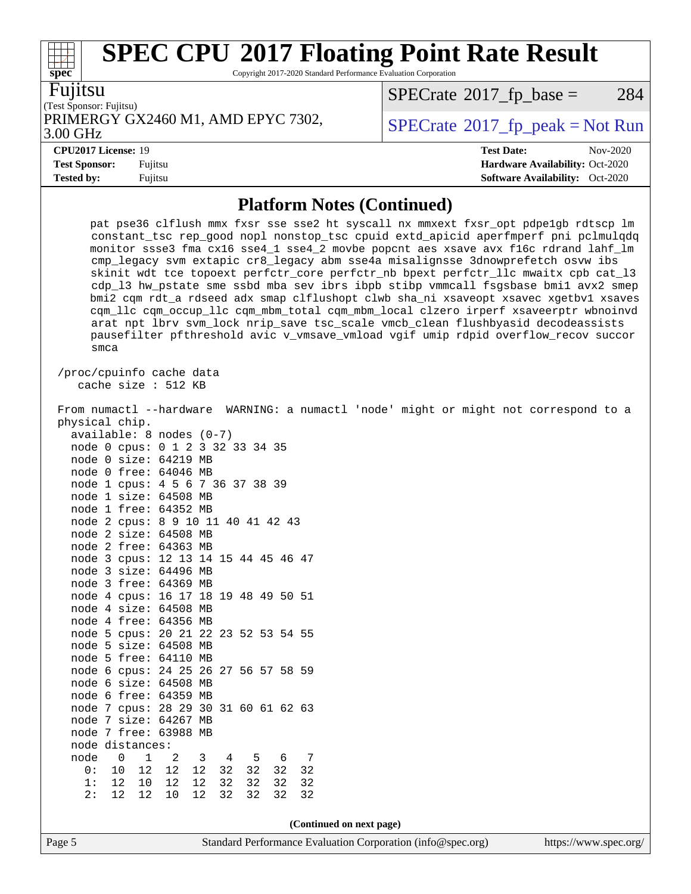Copyright 2017-2020 Standard Performance Evaluation Corporation

Fujitsu

**[spec](http://www.spec.org/)**

(Test Sponsor: Fujitsu) PRIMERGY GX2460 M1, AMD EPYC 7302,  $\vert$  [SPECrate](http://www.spec.org/auto/cpu2017/Docs/result-fields.html#SPECrate2017fppeak) [2017\\_fp\\_peak = N](http://www.spec.org/auto/cpu2017/Docs/result-fields.html#SPECrate2017fppeak)ot Run

 $SPECrate@2017_fp\_base = 284$  $SPECrate@2017_fp\_base = 284$ 

3.00 GHz

**[Test Sponsor:](http://www.spec.org/auto/cpu2017/Docs/result-fields.html#TestSponsor)** Fujitsu **[Hardware Availability:](http://www.spec.org/auto/cpu2017/Docs/result-fields.html#HardwareAvailability)** Oct-2020

**[Tested by:](http://www.spec.org/auto/cpu2017/Docs/result-fields.html#Testedby)** Fujitsu **[Software Availability:](http://www.spec.org/auto/cpu2017/Docs/result-fields.html#SoftwareAvailability)** Oct-2020

**[CPU2017 License:](http://www.spec.org/auto/cpu2017/Docs/result-fields.html#CPU2017License)** 19 **[Test Date:](http://www.spec.org/auto/cpu2017/Docs/result-fields.html#TestDate)** Nov-2020

**[Platform Notes \(Continued\)](http://www.spec.org/auto/cpu2017/Docs/result-fields.html#PlatformNotes)**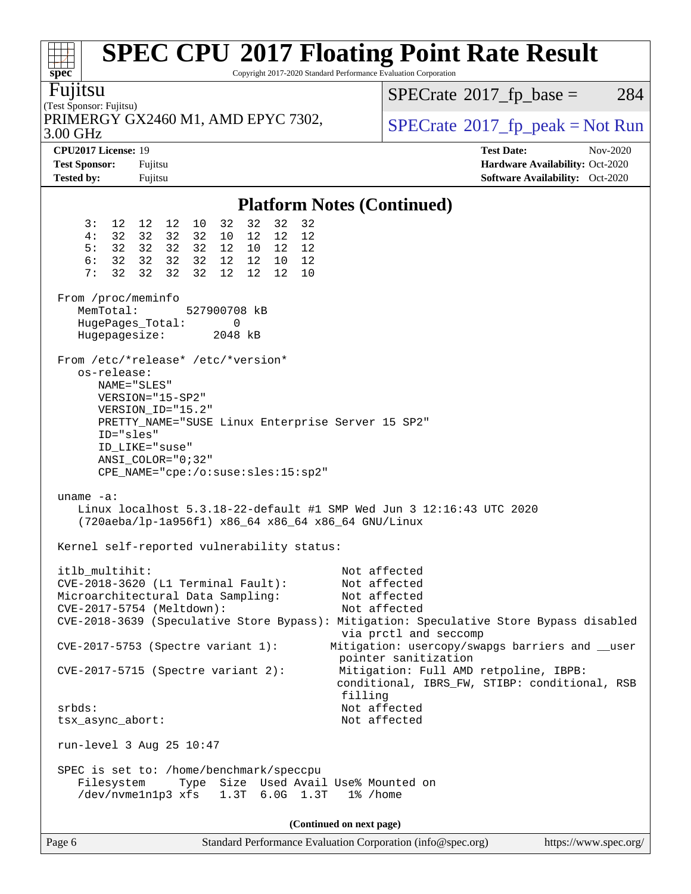| spec <sup>®</sup>                                                                                                                                                   |                                                                                                                                                                                                                                                                                                                                                                                                                                                                                                                                                                        | <b>SPEC CPU®2017 Floating Point Rate Result</b><br>Copyright 2017-2020 Standard Performance Evaluation Corporation                                                                                                                                                                                                                                    |
|---------------------------------------------------------------------------------------------------------------------------------------------------------------------|------------------------------------------------------------------------------------------------------------------------------------------------------------------------------------------------------------------------------------------------------------------------------------------------------------------------------------------------------------------------------------------------------------------------------------------------------------------------------------------------------------------------------------------------------------------------|-------------------------------------------------------------------------------------------------------------------------------------------------------------------------------------------------------------------------------------------------------------------------------------------------------------------------------------------------------|
| Fujitsu<br>(Test Sponsor: Fujitsu)                                                                                                                                  |                                                                                                                                                                                                                                                                                                                                                                                                                                                                                                                                                                        | $SPECrate^{\circ}2017$ _fp_base =<br>284                                                                                                                                                                                                                                                                                                              |
| 3.00 GHz                                                                                                                                                            | PRIMERGY GX2460 M1, AMD EPYC 7302,                                                                                                                                                                                                                                                                                                                                                                                                                                                                                                                                     | $SPECrate^{\circ}2017$ _fp_peak = Not Run                                                                                                                                                                                                                                                                                                             |
| CPU2017 License: 19<br><b>Test Sponsor:</b><br><b>Tested by:</b>                                                                                                    | Fujitsu<br>Fujitsu                                                                                                                                                                                                                                                                                                                                                                                                                                                                                                                                                     | <b>Test Date:</b><br>Nov-2020<br>Hardware Availability: Oct-2020<br>Software Availability: Oct-2020                                                                                                                                                                                                                                                   |
|                                                                                                                                                                     |                                                                                                                                                                                                                                                                                                                                                                                                                                                                                                                                                                        | <b>Platform Notes (Continued)</b>                                                                                                                                                                                                                                                                                                                     |
| 3:<br>4:<br>5:<br>6:<br>7:<br>32<br>From /proc/meminfo<br>MemTotal:<br>HugePages_Total:<br>Hugepagesize:<br>os-release:<br>NAME="SLES"<br>ID="sles"<br>uname $-a$ : | 32<br>32<br>12  12  12  10<br>32<br>32<br>32 32<br>32 32<br>10 12 12<br>12<br>32 32 32 32<br>12 10 12<br>12<br>32 32 32 32<br>12 12 10<br>12<br>32<br>32<br>32<br>12<br>12<br>12<br>10<br>527900708 kB<br>0<br>2048 kB<br>From /etc/*release* /etc/*version*<br>VERSION="15-SP2"<br>VERSION_ID="15.2"<br>PRETTY_NAME="SUSE Linux Enterprise Server 15 SP2"<br>ID LIKE="suse"<br>ANSI COLOR="0;32"<br>CPE_NAME="cpe:/o:suse:sles:15:sp2"<br>Linux localhost 5.3.18-22-default #1 SMP Wed Jun 3 12:16:43 UTC 2020<br>(720aeba/lp-1a956f1) x86_64 x86_64 x86_64 GNU/Linux |                                                                                                                                                                                                                                                                                                                                                       |
|                                                                                                                                                                     | Kernel self-reported vulnerability status:                                                                                                                                                                                                                                                                                                                                                                                                                                                                                                                             |                                                                                                                                                                                                                                                                                                                                                       |
| itlb multihit:                                                                                                                                                      | CVE-2018-3620 (L1 Terminal Fault):<br>Microarchitectural Data Sampling:<br>CVE-2017-5754 (Meltdown):<br>CVE-2017-5753 (Spectre variant 1):<br>$CVE-2017-5715$ (Spectre variant 2):                                                                                                                                                                                                                                                                                                                                                                                     | Not affected<br>Not affected<br>Not affected<br>Not affected<br>CVE-2018-3639 (Speculative Store Bypass): Mitigation: Speculative Store Bypass disabled<br>via prctl and seccomp<br>Mitigation: usercopy/swapgs barriers and __user<br>pointer sanitization<br>Mitigation: Full AMD retpoline, IBPB:<br>conditional, IBRS_FW, STIBP: conditional, RSB |
| $srbds$ :<br>tsx_async_abort:                                                                                                                                       |                                                                                                                                                                                                                                                                                                                                                                                                                                                                                                                                                                        | filling<br>Not affected<br>Not affected                                                                                                                                                                                                                                                                                                               |
|                                                                                                                                                                     | run-level 3 Aug 25 10:47                                                                                                                                                                                                                                                                                                                                                                                                                                                                                                                                               |                                                                                                                                                                                                                                                                                                                                                       |
| Filesystem                                                                                                                                                          | SPEC is set to: /home/benchmark/speccpu<br>Type Size Used Avail Use% Mounted on<br>/dev/nvmeln1p3 xfs 1.3T 6.0G 1.3T                                                                                                                                                                                                                                                                                                                                                                                                                                                   | 1% /home                                                                                                                                                                                                                                                                                                                                              |
|                                                                                                                                                                     |                                                                                                                                                                                                                                                                                                                                                                                                                                                                                                                                                                        | (Continued on next page)                                                                                                                                                                                                                                                                                                                              |
| Page 6                                                                                                                                                              |                                                                                                                                                                                                                                                                                                                                                                                                                                                                                                                                                                        | Standard Performance Evaluation Corporation (info@spec.org)<br>https://www.spec.org/                                                                                                                                                                                                                                                                  |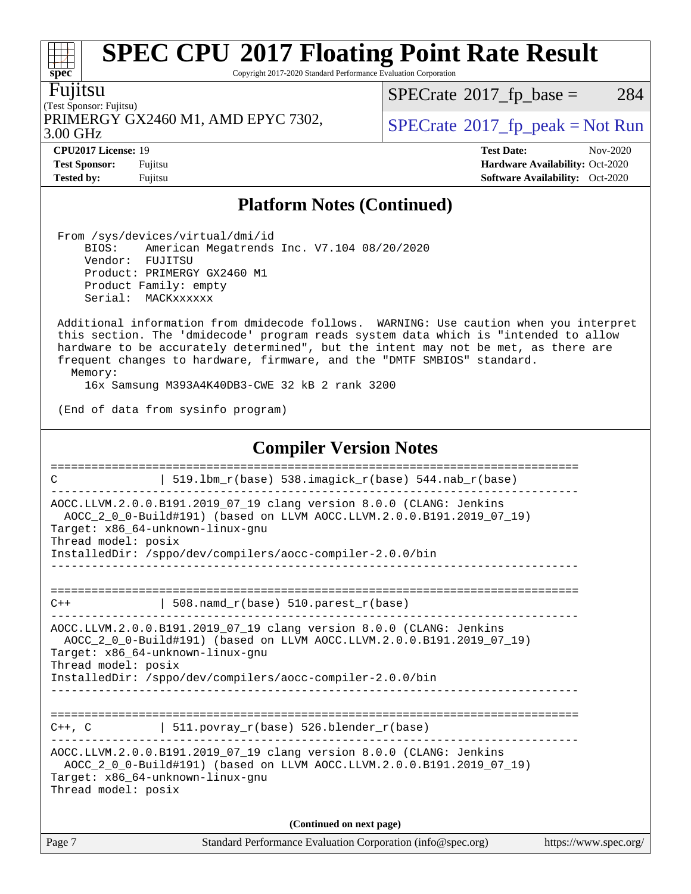Copyright 2017-2020 Standard Performance Evaluation Corporation

Fujitsu

**[spec](http://www.spec.org/)**

 $\pm$ 

(Test Sponsor: Fujitsu) 3.00 GHz PRIMERGY GX2460 M1, AMD EPYC 7302,  $\vert$  [SPECrate](http://www.spec.org/auto/cpu2017/Docs/result-fields.html#SPECrate2017fppeak)®[2017\\_fp\\_peak = N](http://www.spec.org/auto/cpu2017/Docs/result-fields.html#SPECrate2017fppeak)ot Run

 $SPECTate$ <sup>®</sup>[2017\\_fp\\_base =](http://www.spec.org/auto/cpu2017/Docs/result-fields.html#SPECrate2017fpbase) 284

**[CPU2017 License:](http://www.spec.org/auto/cpu2017/Docs/result-fields.html#CPU2017License)** 19 **[Test Date:](http://www.spec.org/auto/cpu2017/Docs/result-fields.html#TestDate)** Nov-2020 **[Test Sponsor:](http://www.spec.org/auto/cpu2017/Docs/result-fields.html#TestSponsor)** Fujitsu **[Hardware Availability:](http://www.spec.org/auto/cpu2017/Docs/result-fields.html#HardwareAvailability)** Oct-2020 **[Tested by:](http://www.spec.org/auto/cpu2017/Docs/result-fields.html#Testedby)** Fujitsu **Fugital Exception Contract Contract Contract Contract Contract Contract Contract Contract Contract Contract Contract Contract Contract Contract Contract Contract Contract Contract Contract Contract Co** 

#### **[Platform Notes \(Continued\)](http://www.spec.org/auto/cpu2017/Docs/result-fields.html#PlatformNotes)**

 From /sys/devices/virtual/dmi/id BIOS: American Megatrends Inc. V7.104 08/20/2020 Vendor: FUJITSU Product: PRIMERGY GX2460 M1 Product Family: empty Serial: MACKxxxxxx

 Additional information from dmidecode follows. WARNING: Use caution when you interpret this section. The 'dmidecode' program reads system data which is "intended to allow hardware to be accurately determined", but the intent may not be met, as there are frequent changes to hardware, firmware, and the "DMTF SMBIOS" standard.

Memory:

16x Samsung M393A4K40DB3-CWE 32 kB 2 rank 3200

(End of data from sysinfo program)

#### **[Compiler Version Notes](http://www.spec.org/auto/cpu2017/Docs/result-fields.html#CompilerVersionNotes)**

| C                   | 519.1bm_r(base) 538.imagick_r(base) 544.nab_r(base)                                                                                                                                                                                           |                       |
|---------------------|-----------------------------------------------------------------------------------------------------------------------------------------------------------------------------------------------------------------------------------------------|-----------------------|
| Thread model: posix | AOCC.LLVM.2.0.0.B191.2019_07_19 clang version 8.0.0 (CLANG: Jenkins<br>AOCC 2 0 0-Build#191) (based on LLVM AOCC.LLVM.2.0.0.B191.2019 07 19)<br>Target: x86 64-unknown-linux-gnu<br>InstalledDir: /sppo/dev/compilers/aocc-compiler-2.0.0/bin |                       |
| $C++$               | 508. namd $r(base)$ 510. parest $r(base)$                                                                                                                                                                                                     |                       |
| Thread model: posix | AOCC.LLVM.2.0.0.B191.2019_07_19 clang version 8.0.0 (CLANG: Jenkins<br>AOCC 2 0 0-Build#191) (based on LLVM AOCC.LLVM.2.0.0.B191.2019 07 19)<br>Target: x86 64-unknown-linux-gnu<br>InstalledDir: /sppo/dev/compilers/aocc-compiler-2.0.0/bin |                       |
| $C++$ , $C$         | 511.povray_r(base) 526.blender_r(base)                                                                                                                                                                                                        |                       |
| Thread model: posix | AOCC.LLVM.2.0.0.B191.2019 07 19 clang version 8.0.0 (CLANG: Jenkins<br>AOCC_2_0_0-Build#191) (based on LLVM AOCC.LLVM.2.0.0.B191.2019_07_19)<br>Target: x86 64-unknown-linux-qnu                                                              |                       |
|                     | (Continued on next page)                                                                                                                                                                                                                      |                       |
| Page 7              | Standard Performance Evaluation Corporation (info@spec.org)                                                                                                                                                                                   | https://www.spec.org/ |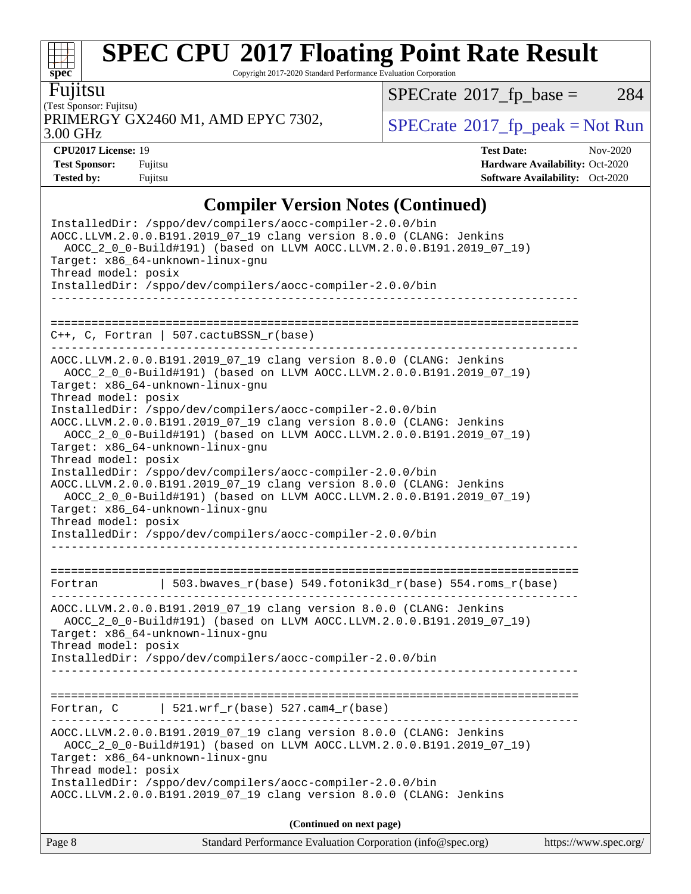Copyright 2017-2020 Standard Performance Evaluation Corporation

Fujitsu

**[spec](http://www.spec.org/)**

 $+\!\!+\!\!$ 

#### (Test Sponsor: Fujitsu) PRIMERGY GX2460 M1, AMD EPYC 7302,  $\vert$  [SPECrate](http://www.spec.org/auto/cpu2017/Docs/result-fields.html#SPECrate2017fppeak) [2017\\_fp\\_peak = N](http://www.spec.org/auto/cpu2017/Docs/result-fields.html#SPECrate2017fppeak)ot Run

 $SPECTate$ <sup>®</sup>[2017\\_fp\\_base =](http://www.spec.org/auto/cpu2017/Docs/result-fields.html#SPECrate2017fpbase) 284

3.00 GHz

**[CPU2017 License:](http://www.spec.org/auto/cpu2017/Docs/result-fields.html#CPU2017License)** 19 **[Test Date:](http://www.spec.org/auto/cpu2017/Docs/result-fields.html#TestDate)** Nov-2020 **[Test Sponsor:](http://www.spec.org/auto/cpu2017/Docs/result-fields.html#TestSponsor)** Fujitsu **[Hardware Availability:](http://www.spec.org/auto/cpu2017/Docs/result-fields.html#HardwareAvailability)** Oct-2020 **[Tested by:](http://www.spec.org/auto/cpu2017/Docs/result-fields.html#Testedby)** Fujitsu **[Software Availability:](http://www.spec.org/auto/cpu2017/Docs/result-fields.html#SoftwareAvailability)** Oct-2020

### **[Compiler Version Notes \(Continued\)](http://www.spec.org/auto/cpu2017/Docs/result-fields.html#CompilerVersionNotes)**

| Standard Performance Evaluation Corporation (info@spec.org)<br>Page 8                                                                                                                                                                                                                                                                                                                                                                                                                                                                                                                                                                                                                                                                                                                                                                                                                                                                                                      | https://www.spec.org/ |
|----------------------------------------------------------------------------------------------------------------------------------------------------------------------------------------------------------------------------------------------------------------------------------------------------------------------------------------------------------------------------------------------------------------------------------------------------------------------------------------------------------------------------------------------------------------------------------------------------------------------------------------------------------------------------------------------------------------------------------------------------------------------------------------------------------------------------------------------------------------------------------------------------------------------------------------------------------------------------|-----------------------|
| (Continued on next page)                                                                                                                                                                                                                                                                                                                                                                                                                                                                                                                                                                                                                                                                                                                                                                                                                                                                                                                                                   |                       |
| AOCC.LLVM.2.0.0.B191.2019_07_19 clang version 8.0.0 (CLANG: Jenkins<br>AOCC_2_0_0-Build#191) (based on LLVM AOCC.LLVM.2.0.0.B191.2019_07_19)<br>Target: x86_64-unknown-linux-gnu<br>Thread model: posix<br>InstalledDir: /sppo/dev/compilers/aocc-compiler-2.0.0/bin<br>AOCC.LLVM.2.0.0.B191.2019_07_19 clang version 8.0.0 (CLANG: Jenkins                                                                                                                                                                                                                                                                                                                                                                                                                                                                                                                                                                                                                                |                       |
| $521.wrf_r(base) 527.cam4_r(base)$<br>Fortran, C                                                                                                                                                                                                                                                                                                                                                                                                                                                                                                                                                                                                                                                                                                                                                                                                                                                                                                                           |                       |
| AOCC.LLVM.2.0.0.B191.2019_07_19 clang version 8.0.0 (CLANG: Jenkins<br>AOCC_2_0_0-Build#191) (based on LLVM AOCC.LLVM.2.0.0.B191.2019_07_19)<br>Target: x86_64-unknown-linux-gnu<br>Thread model: posix<br>InstalledDir: /sppo/dev/compilers/aocc-compiler-2.0.0/bin                                                                                                                                                                                                                                                                                                                                                                                                                                                                                                                                                                                                                                                                                                       |                       |
| 503.bwaves_r(base) 549.fotonik3d_r(base) 554.roms_r(base)<br>Fortran                                                                                                                                                                                                                                                                                                                                                                                                                                                                                                                                                                                                                                                                                                                                                                                                                                                                                                       |                       |
| $C++$ , C, Fortran   507.cactuBSSN_r(base)<br>. <u>_ _ _ _ _ _ _ _ _ _ _ _ _ _ _ _ _</u> _ _<br>------------<br>__________________________________<br>AOCC.LLVM.2.0.0.B191.2019_07_19 clang version 8.0.0 (CLANG: Jenkins<br>AOCC_2_0_0-Build#191) (based on LLVM AOCC.LLVM.2.0.0.B191.2019_07_19)<br>Target: x86_64-unknown-linux-gnu<br>Thread model: posix<br>InstalledDir: /sppo/dev/compilers/aocc-compiler-2.0.0/bin<br>AOCC.LLVM.2.0.0.B191.2019_07_19 clang version 8.0.0 (CLANG: Jenkins<br>AOCC 2 0 0-Build#191) (based on LLVM AOCC.LLVM.2.0.0.B191.2019 07 19)<br>Target: x86_64-unknown-linux-gnu<br>Thread model: posix<br>InstalledDir: /sppo/dev/compilers/aocc-compiler-2.0.0/bin<br>AOCC.LLVM.2.0.0.B191.2019_07_19 clang version 8.0.0 (CLANG: Jenkins<br>AOCC_2_0_0-Build#191) (based on LLVM AOCC.LLVM.2.0.0.B191.2019_07_19)<br>Target: x86_64-unknown-linux-gnu<br>Thread model: posix<br>InstalledDir: /sppo/dev/compilers/aocc-compiler-2.0.0/bin |                       |
|                                                                                                                                                                                                                                                                                                                                                                                                                                                                                                                                                                                                                                                                                                                                                                                                                                                                                                                                                                            |                       |
| Thread model: posix<br>InstalledDir: /sppo/dev/compilers/aocc-compiler-2.0.0/bin                                                                                                                                                                                                                                                                                                                                                                                                                                                                                                                                                                                                                                                                                                                                                                                                                                                                                           |                       |
| InstalledDir: /sppo/dev/compilers/aocc-compiler-2.0.0/bin<br>AOCC.LLVM.2.0.0.B191.2019_07_19 clang version 8.0.0 (CLANG: Jenkins<br>AOCC_2_0_0-Build#191) (based on LLVM AOCC.LLVM.2.0.0.B191.2019_07_19)<br>Target: x86_64-unknown-linux-gnu                                                                                                                                                                                                                                                                                                                                                                                                                                                                                                                                                                                                                                                                                                                              |                       |
| $\mathbf{Compton}$ , croion rotes (Continuea)                                                                                                                                                                                                                                                                                                                                                                                                                                                                                                                                                                                                                                                                                                                                                                                                                                                                                                                              |                       |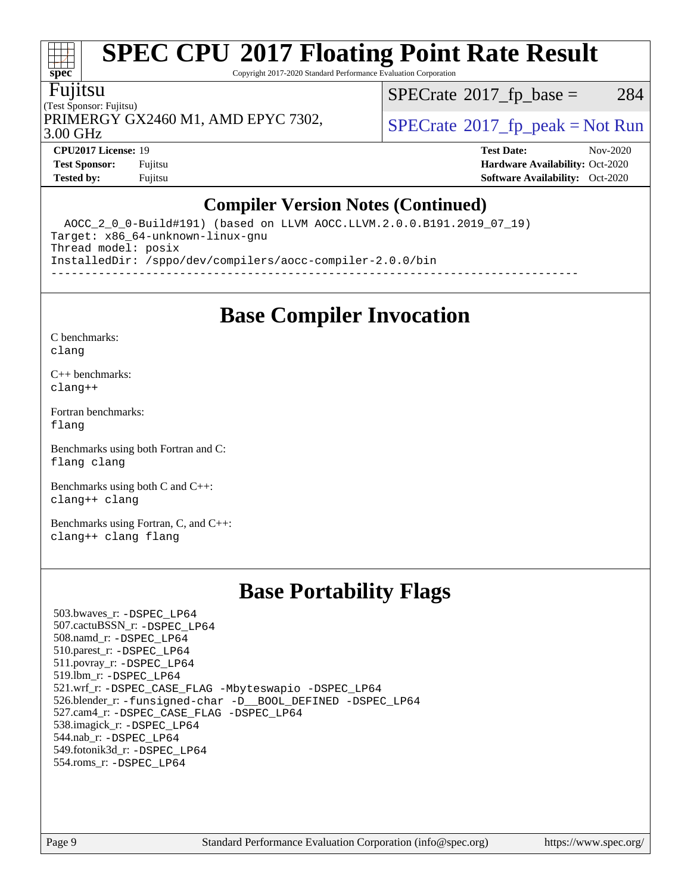Copyright 2017-2020 Standard Performance Evaluation Corporation

#### Fujitsu

**[spec](http://www.spec.org/)**

 $\pm$ 

(Test Sponsor: Fujitsu) PRIMERGY GX2460 M1, AMD EPYC 7302,  $\vert$  [SPECrate](http://www.spec.org/auto/cpu2017/Docs/result-fields.html#SPECrate2017fppeak)®[2017\\_fp\\_peak = N](http://www.spec.org/auto/cpu2017/Docs/result-fields.html#SPECrate2017fppeak)ot Run

 $SPECTate$ <sup>®</sup>[2017\\_fp\\_base =](http://www.spec.org/auto/cpu2017/Docs/result-fields.html#SPECrate2017fpbase) 284

3.00 GHz

**[Tested by:](http://www.spec.org/auto/cpu2017/Docs/result-fields.html#Testedby)** Fujitsu **[Software Availability:](http://www.spec.org/auto/cpu2017/Docs/result-fields.html#SoftwareAvailability)** Oct-2020

**[CPU2017 License:](http://www.spec.org/auto/cpu2017/Docs/result-fields.html#CPU2017License)** 19 **[Test Date:](http://www.spec.org/auto/cpu2017/Docs/result-fields.html#TestDate)** Nov-2020 **[Test Sponsor:](http://www.spec.org/auto/cpu2017/Docs/result-fields.html#TestSponsor)** Fujitsu **[Hardware Availability:](http://www.spec.org/auto/cpu2017/Docs/result-fields.html#HardwareAvailability)** Oct-2020

### **[Compiler Version Notes \(Continued\)](http://www.spec.org/auto/cpu2017/Docs/result-fields.html#CompilerVersionNotes)**

 AOCC\_2\_0\_0-Build#191) (based on LLVM AOCC.LLVM.2.0.0.B191.2019\_07\_19) Target: x86\_64-unknown-linux-gnu Thread model: posix InstalledDir: /sppo/dev/compilers/aocc-compiler-2.0.0/bin ------------------------------------------------------------------------------

**[Base Compiler Invocation](http://www.spec.org/auto/cpu2017/Docs/result-fields.html#BaseCompilerInvocation)**

[C benchmarks](http://www.spec.org/auto/cpu2017/Docs/result-fields.html#Cbenchmarks): [clang](http://www.spec.org/cpu2017/results/res2020q4/cpu2017-20201124-24487.flags.html#user_CCbase_clang-c)

[C++ benchmarks:](http://www.spec.org/auto/cpu2017/Docs/result-fields.html#CXXbenchmarks) [clang++](http://www.spec.org/cpu2017/results/res2020q4/cpu2017-20201124-24487.flags.html#user_CXXbase_clang-cpp)

[Fortran benchmarks](http://www.spec.org/auto/cpu2017/Docs/result-fields.html#Fortranbenchmarks): [flang](http://www.spec.org/cpu2017/results/res2020q4/cpu2017-20201124-24487.flags.html#user_FCbase_flang)

[Benchmarks using both Fortran and C](http://www.spec.org/auto/cpu2017/Docs/result-fields.html#BenchmarksusingbothFortranandC): [flang](http://www.spec.org/cpu2017/results/res2020q4/cpu2017-20201124-24487.flags.html#user_CC_FCbase_flang) [clang](http://www.spec.org/cpu2017/results/res2020q4/cpu2017-20201124-24487.flags.html#user_CC_FCbase_clang-c)

[Benchmarks using both C and C++](http://www.spec.org/auto/cpu2017/Docs/result-fields.html#BenchmarksusingbothCandCXX): [clang++](http://www.spec.org/cpu2017/results/res2020q4/cpu2017-20201124-24487.flags.html#user_CC_CXXbase_clang-cpp) [clang](http://www.spec.org/cpu2017/results/res2020q4/cpu2017-20201124-24487.flags.html#user_CC_CXXbase_clang-c)

[Benchmarks using Fortran, C, and C++:](http://www.spec.org/auto/cpu2017/Docs/result-fields.html#BenchmarksusingFortranCandCXX) [clang++](http://www.spec.org/cpu2017/results/res2020q4/cpu2017-20201124-24487.flags.html#user_CC_CXX_FCbase_clang-cpp) [clang](http://www.spec.org/cpu2017/results/res2020q4/cpu2017-20201124-24487.flags.html#user_CC_CXX_FCbase_clang-c) [flang](http://www.spec.org/cpu2017/results/res2020q4/cpu2017-20201124-24487.flags.html#user_CC_CXX_FCbase_flang)

### **[Base Portability Flags](http://www.spec.org/auto/cpu2017/Docs/result-fields.html#BasePortabilityFlags)**

 503.bwaves\_r: [-DSPEC\\_LP64](http://www.spec.org/cpu2017/results/res2020q4/cpu2017-20201124-24487.flags.html#suite_baseEXTRA_PORTABILITY503_bwaves_r_DSPEC_LP64) 507.cactuBSSN\_r: [-DSPEC\\_LP64](http://www.spec.org/cpu2017/results/res2020q4/cpu2017-20201124-24487.flags.html#suite_baseEXTRA_PORTABILITY507_cactuBSSN_r_DSPEC_LP64) 508.namd\_r: [-DSPEC\\_LP64](http://www.spec.org/cpu2017/results/res2020q4/cpu2017-20201124-24487.flags.html#suite_baseEXTRA_PORTABILITY508_namd_r_DSPEC_LP64) 510.parest\_r: [-DSPEC\\_LP64](http://www.spec.org/cpu2017/results/res2020q4/cpu2017-20201124-24487.flags.html#suite_baseEXTRA_PORTABILITY510_parest_r_DSPEC_LP64) 511.povray\_r: [-DSPEC\\_LP64](http://www.spec.org/cpu2017/results/res2020q4/cpu2017-20201124-24487.flags.html#suite_baseEXTRA_PORTABILITY511_povray_r_DSPEC_LP64) 519.lbm\_r: [-DSPEC\\_LP64](http://www.spec.org/cpu2017/results/res2020q4/cpu2017-20201124-24487.flags.html#suite_baseEXTRA_PORTABILITY519_lbm_r_DSPEC_LP64) 521.wrf\_r: [-DSPEC\\_CASE\\_FLAG](http://www.spec.org/cpu2017/results/res2020q4/cpu2017-20201124-24487.flags.html#b521.wrf_r_baseCPORTABILITY_DSPEC_CASE_FLAG) [-Mbyteswapio](http://www.spec.org/cpu2017/results/res2020q4/cpu2017-20201124-24487.flags.html#user_baseFPORTABILITY521_wrf_r_F-mbyteswapio_543c39ce38db59bcbc3b888917ef58c313007ae1c27520b689e012995ae261114051d1d5efcb4182d175ce22a6a15532d3a9999882dd2c360e6d853f41da6883) [-DSPEC\\_LP64](http://www.spec.org/cpu2017/results/res2020q4/cpu2017-20201124-24487.flags.html#suite_baseEXTRA_PORTABILITY521_wrf_r_DSPEC_LP64) 526.blender\_r: [-funsigned-char](http://www.spec.org/cpu2017/results/res2020q4/cpu2017-20201124-24487.flags.html#user_baseCPORTABILITY526_blender_r_aocc-unsigned-char) [-D\\_\\_BOOL\\_DEFINED](http://www.spec.org/cpu2017/results/res2020q4/cpu2017-20201124-24487.flags.html#b526.blender_r_baseCXXPORTABILITY_D__BOOL_DEFINED) [-DSPEC\\_LP64](http://www.spec.org/cpu2017/results/res2020q4/cpu2017-20201124-24487.flags.html#suite_baseEXTRA_PORTABILITY526_blender_r_DSPEC_LP64) 527.cam4\_r: [-DSPEC\\_CASE\\_FLAG](http://www.spec.org/cpu2017/results/res2020q4/cpu2017-20201124-24487.flags.html#b527.cam4_r_basePORTABILITY_DSPEC_CASE_FLAG) [-DSPEC\\_LP64](http://www.spec.org/cpu2017/results/res2020q4/cpu2017-20201124-24487.flags.html#suite_baseEXTRA_PORTABILITY527_cam4_r_DSPEC_LP64) 538.imagick\_r: [-DSPEC\\_LP64](http://www.spec.org/cpu2017/results/res2020q4/cpu2017-20201124-24487.flags.html#suite_baseEXTRA_PORTABILITY538_imagick_r_DSPEC_LP64) 544.nab\_r: [-DSPEC\\_LP64](http://www.spec.org/cpu2017/results/res2020q4/cpu2017-20201124-24487.flags.html#suite_baseEXTRA_PORTABILITY544_nab_r_DSPEC_LP64) 549.fotonik3d\_r: [-DSPEC\\_LP64](http://www.spec.org/cpu2017/results/res2020q4/cpu2017-20201124-24487.flags.html#suite_baseEXTRA_PORTABILITY549_fotonik3d_r_DSPEC_LP64) 554.roms\_r: [-DSPEC\\_LP64](http://www.spec.org/cpu2017/results/res2020q4/cpu2017-20201124-24487.flags.html#suite_baseEXTRA_PORTABILITY554_roms_r_DSPEC_LP64)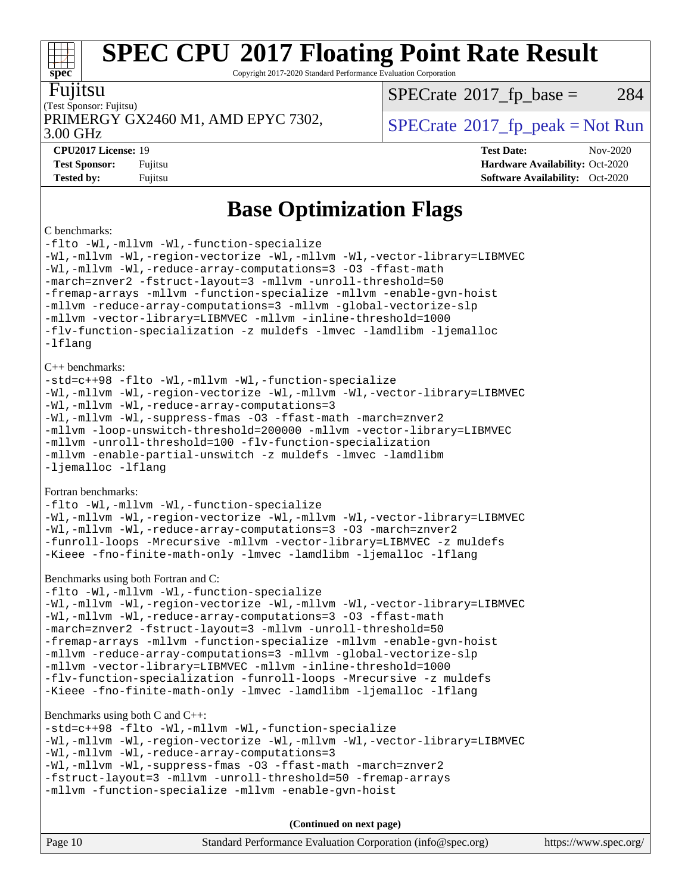Copyright 2017-2020 Standard Performance Evaluation Corporation

| I<br>П<br>I<br>I | ι. |
|------------------|----|
|                  |    |

**[spec](http://www.spec.org/)**

### (Test Sponsor: Fujitsu) PRIMERGY GX2460 M1, AMD EPYC 7302,  $\vert$  [SPECrate](http://www.spec.org/auto/cpu2017/Docs/result-fields.html#SPECrate2017fppeak) 2017 fp peak = Not Run

 $SPECTate$ <sup>®</sup>[2017\\_fp\\_base =](http://www.spec.org/auto/cpu2017/Docs/result-fields.html#SPECrate2017fpbase) 284

3.00 GHz

**[CPU2017 License:](http://www.spec.org/auto/cpu2017/Docs/result-fields.html#CPU2017License)** 19 **[Test Date:](http://www.spec.org/auto/cpu2017/Docs/result-fields.html#TestDate)** Nov-2020 **[Test Sponsor:](http://www.spec.org/auto/cpu2017/Docs/result-fields.html#TestSponsor)** Fujitsu **[Hardware Availability:](http://www.spec.org/auto/cpu2017/Docs/result-fields.html#HardwareAvailability)** Oct-2020 **[Tested by:](http://www.spec.org/auto/cpu2017/Docs/result-fields.html#Testedby)** Fujitsu **[Software Availability:](http://www.spec.org/auto/cpu2017/Docs/result-fields.html#SoftwareAvailability)** Oct-2020

### **[Base Optimization Flags](http://www.spec.org/auto/cpu2017/Docs/result-fields.html#BaseOptimizationFlags)**

#### [C benchmarks:](http://www.spec.org/auto/cpu2017/Docs/result-fields.html#Cbenchmarks)

[-flto](http://www.spec.org/cpu2017/results/res2020q4/cpu2017-20201124-24487.flags.html#user_CCbase_aocc-flto) [-Wl,-mllvm -Wl,-function-specialize](http://www.spec.org/cpu2017/results/res2020q4/cpu2017-20201124-24487.flags.html#user_CCbase_F-function-specialize_7e7e661e57922243ee67c9a1251cb8910e607325179a0ce7f2884e09a6f5d4a5ef0ae4f37e8a2a11c95fc48e931f06dc2b6016f14b511fcb441e048bef1b065a) [-Wl,-mllvm -Wl,-region-vectorize](http://www.spec.org/cpu2017/results/res2020q4/cpu2017-20201124-24487.flags.html#user_CCbase_F-region-vectorize_fb6c6b5aa293c88efc6c7c2b52b20755e943585b1fe8658c35afef78727fff56e1a56891413c30e36b8e2a6f9a71126986319243e80eb6110b78b288f533c52b) [-Wl,-mllvm -Wl,-vector-library=LIBMVEC](http://www.spec.org/cpu2017/results/res2020q4/cpu2017-20201124-24487.flags.html#user_CCbase_F-use-vector-library_0a14b27fae317f283640384a31f7bfcc2bd4c1d0b5cfc618a3a430800c9b20217b00f61303eff223a3251b4f06ffbc9739dc5296db9d1fbb9ad24a3939d86d66) [-Wl,-mllvm -Wl,-reduce-array-computations=3](http://www.spec.org/cpu2017/results/res2020q4/cpu2017-20201124-24487.flags.html#user_CCbase_F-reduce-array-computations_b882aefe7a5dda4e33149f6299762b9a720dace3e498e13756f4c04e5a19edf5315c1f3993de2e61ec41e8c206231f84e05da7040e1bb5d69ba27d10a12507e4) [-O3](http://www.spec.org/cpu2017/results/res2020q4/cpu2017-20201124-24487.flags.html#user_CCbase_F-O3) [-ffast-math](http://www.spec.org/cpu2017/results/res2020q4/cpu2017-20201124-24487.flags.html#user_CCbase_aocc-ffast-math) [-march=znver2](http://www.spec.org/cpu2017/results/res2020q4/cpu2017-20201124-24487.flags.html#user_CCbase_aocc-march_3e2e19cff2eeef60c5d90b059483627c9ea47eca6d66670dbd53f9185f6439e27eb5e104cf773e9e8ab18c8842ce63e461a3e948d0214bd567ef3ade411bf467) [-fstruct-layout=3](http://www.spec.org/cpu2017/results/res2020q4/cpu2017-20201124-24487.flags.html#user_CCbase_F-struct-layout) [-mllvm -unroll-threshold=50](http://www.spec.org/cpu2017/results/res2020q4/cpu2017-20201124-24487.flags.html#user_CCbase_F-unroll-threshold_458874500b2c105d6d5cb4d7a611c40e2b16e9e3d26b355fea72d644c3673b4de4b3932662f0ed3dbec75c491a13da2d2ca81180bd779dc531083ef1e1e549dc) [-fremap-arrays](http://www.spec.org/cpu2017/results/res2020q4/cpu2017-20201124-24487.flags.html#user_CCbase_F-fremap-arrays) [-mllvm -function-specialize](http://www.spec.org/cpu2017/results/res2020q4/cpu2017-20201124-24487.flags.html#user_CCbase_F-function-specialize_233b3bdba86027f1b094368157e481c5bc59f40286dc25bfadc1858dcd5745c24fd30d5f188710db7fea399bcc9f44a80b3ce3aacc70a8870250c3ae5e1f35b8) [-mllvm -enable-gvn-hoist](http://www.spec.org/cpu2017/results/res2020q4/cpu2017-20201124-24487.flags.html#user_CCbase_F-enable-gvn-hoist_e5856354646dd6ca1333a0ad99b817e4cf8932b91b82809fd8fd47ceff7b22a89eba5c98fd3e3fa5200368fd772cec3dd56abc3c8f7b655a71b9f9848dddedd5) [-mllvm -reduce-array-computations=3](http://www.spec.org/cpu2017/results/res2020q4/cpu2017-20201124-24487.flags.html#user_CCbase_F-reduce-array-computations_aceadb8604558b566e0e3a0d7a3c1533923dd1fa0889614e16288028922629a28d5695c24d3b3be4306b1e311c54317dfffe3a2e57fbcaabc737a1798de39145) [-mllvm -global-vectorize-slp](http://www.spec.org/cpu2017/results/res2020q4/cpu2017-20201124-24487.flags.html#user_CCbase_F-global-vectorize-slp_a3935e8627af4ced727033b1ffd4db27f4d541a363d28d82bf4c2925fb3a0fd4115d6e42d13a2829f9e024d6608eb67a85cb49770f2da5c5ac8dbc737afad603) [-mllvm -vector-library=LIBMVEC](http://www.spec.org/cpu2017/results/res2020q4/cpu2017-20201124-24487.flags.html#user_CCbase_F-use-vector-library_e584e20b4f7ec96aa109254b65d8e01d864f3d68580371b9d93ed7c338191d4cfce20c3c864632264effc6bbe4c7c38153d02096a342ee92501c4a53204a7871) [-mllvm -inline-threshold=1000](http://www.spec.org/cpu2017/results/res2020q4/cpu2017-20201124-24487.flags.html#user_CCbase_dragonegg-llvm-inline-threshold_b7832241b0a6397e4ecdbaf0eb7defdc10f885c2a282fa3240fdc99844d543fda39cf8a4a9dccf68cf19b5438ac3b455264f478df15da0f4988afa40d8243bab) [-flv-function-specialization](http://www.spec.org/cpu2017/results/res2020q4/cpu2017-20201124-24487.flags.html#user_CCbase_F-flv-function-specialization) [-z muldefs](http://www.spec.org/cpu2017/results/res2020q4/cpu2017-20201124-24487.flags.html#user_CCbase_aocc-muldefs) [-lmvec](http://www.spec.org/cpu2017/results/res2020q4/cpu2017-20201124-24487.flags.html#user_CCbase_F-lmvec) [-lamdlibm](http://www.spec.org/cpu2017/results/res2020q4/cpu2017-20201124-24487.flags.html#user_CCbase_F-lamdlibm) [-ljemalloc](http://www.spec.org/cpu2017/results/res2020q4/cpu2017-20201124-24487.flags.html#user_CCbase_jemalloc-lib) [-lflang](http://www.spec.org/cpu2017/results/res2020q4/cpu2017-20201124-24487.flags.html#user_CCbase_F-lflang) [C++ benchmarks](http://www.spec.org/auto/cpu2017/Docs/result-fields.html#CXXbenchmarks): [-std=c++98](http://www.spec.org/cpu2017/results/res2020q4/cpu2017-20201124-24487.flags.html#user_CXXbase_std-cpp) [-flto](http://www.spec.org/cpu2017/results/res2020q4/cpu2017-20201124-24487.flags.html#user_CXXbase_aocc-flto) [-Wl,-mllvm -Wl,-function-specialize](http://www.spec.org/cpu2017/results/res2020q4/cpu2017-20201124-24487.flags.html#user_CXXbase_F-function-specialize_7e7e661e57922243ee67c9a1251cb8910e607325179a0ce7f2884e09a6f5d4a5ef0ae4f37e8a2a11c95fc48e931f06dc2b6016f14b511fcb441e048bef1b065a) [-Wl,-mllvm -Wl,-region-vectorize](http://www.spec.org/cpu2017/results/res2020q4/cpu2017-20201124-24487.flags.html#user_CXXbase_F-region-vectorize_fb6c6b5aa293c88efc6c7c2b52b20755e943585b1fe8658c35afef78727fff56e1a56891413c30e36b8e2a6f9a71126986319243e80eb6110b78b288f533c52b) [-Wl,-mllvm -Wl,-vector-library=LIBMVEC](http://www.spec.org/cpu2017/results/res2020q4/cpu2017-20201124-24487.flags.html#user_CXXbase_F-use-vector-library_0a14b27fae317f283640384a31f7bfcc2bd4c1d0b5cfc618a3a430800c9b20217b00f61303eff223a3251b4f06ffbc9739dc5296db9d1fbb9ad24a3939d86d66) [-Wl,-mllvm -Wl,-reduce-array-computations=3](http://www.spec.org/cpu2017/results/res2020q4/cpu2017-20201124-24487.flags.html#user_CXXbase_F-reduce-array-computations_b882aefe7a5dda4e33149f6299762b9a720dace3e498e13756f4c04e5a19edf5315c1f3993de2e61ec41e8c206231f84e05da7040e1bb5d69ba27d10a12507e4) [-Wl,-mllvm -Wl,-suppress-fmas](http://www.spec.org/cpu2017/results/res2020q4/cpu2017-20201124-24487.flags.html#user_CXXbase_F-suppress-fmas_f00f00630e4a059e8af9c161e9bbf420bcf19890a7f99d5933525e66aa4b0bb3ab2339d2b12d97d3a5f5d271e839fe9c109938e91fe06230fb53651590cfa1e8) [-O3](http://www.spec.org/cpu2017/results/res2020q4/cpu2017-20201124-24487.flags.html#user_CXXbase_F-O3) [-ffast-math](http://www.spec.org/cpu2017/results/res2020q4/cpu2017-20201124-24487.flags.html#user_CXXbase_aocc-ffast-math) [-march=znver2](http://www.spec.org/cpu2017/results/res2020q4/cpu2017-20201124-24487.flags.html#user_CXXbase_aocc-march_3e2e19cff2eeef60c5d90b059483627c9ea47eca6d66670dbd53f9185f6439e27eb5e104cf773e9e8ab18c8842ce63e461a3e948d0214bd567ef3ade411bf467) [-mllvm -loop-unswitch-threshold=200000](http://www.spec.org/cpu2017/results/res2020q4/cpu2017-20201124-24487.flags.html#user_CXXbase_F-loop-unswitch-threshold_f9a82ae3270e55b5fbf79d0d96ee93606b73edbbe527d20b18b7bff1a3a146ad50cfc7454c5297978340ae9213029016a7d16221274d672d3f7f42ed25274e1d) [-mllvm -vector-library=LIBMVEC](http://www.spec.org/cpu2017/results/res2020q4/cpu2017-20201124-24487.flags.html#user_CXXbase_F-use-vector-library_e584e20b4f7ec96aa109254b65d8e01d864f3d68580371b9d93ed7c338191d4cfce20c3c864632264effc6bbe4c7c38153d02096a342ee92501c4a53204a7871) [-mllvm -unroll-threshold=100](http://www.spec.org/cpu2017/results/res2020q4/cpu2017-20201124-24487.flags.html#user_CXXbase_F-unroll-threshold_2755d0c78138845d361fa1543e3a063fffa198df9b3edf0cfb856bbc88a81e1769b12ac7a550c5d35197be55360db1a3f95a8d1304df999456cabf5120c45168) [-flv-function-specialization](http://www.spec.org/cpu2017/results/res2020q4/cpu2017-20201124-24487.flags.html#user_CXXbase_F-flv-function-specialization) [-mllvm -enable-partial-unswitch](http://www.spec.org/cpu2017/results/res2020q4/cpu2017-20201124-24487.flags.html#user_CXXbase_F-enable-partial-unswitch_6e1c33f981d77963b1eaf834973128a7f33ce3f8e27f54689656697a35e89dcc875281e0e6283d043e32f367dcb605ba0e307a92e830f7e326789fa6c61b35d3) [-z muldefs](http://www.spec.org/cpu2017/results/res2020q4/cpu2017-20201124-24487.flags.html#user_CXXbase_aocc-muldefs) [-lmvec](http://www.spec.org/cpu2017/results/res2020q4/cpu2017-20201124-24487.flags.html#user_CXXbase_F-lmvec) [-lamdlibm](http://www.spec.org/cpu2017/results/res2020q4/cpu2017-20201124-24487.flags.html#user_CXXbase_F-lamdlibm) [-ljemalloc](http://www.spec.org/cpu2017/results/res2020q4/cpu2017-20201124-24487.flags.html#user_CXXbase_jemalloc-lib) [-lflang](http://www.spec.org/cpu2017/results/res2020q4/cpu2017-20201124-24487.flags.html#user_CXXbase_F-lflang) [Fortran benchmarks:](http://www.spec.org/auto/cpu2017/Docs/result-fields.html#Fortranbenchmarks) [-flto](http://www.spec.org/cpu2017/results/res2020q4/cpu2017-20201124-24487.flags.html#user_FCbase_aocc-flto) [-Wl,-mllvm -Wl,-function-specialize](http://www.spec.org/cpu2017/results/res2020q4/cpu2017-20201124-24487.flags.html#user_FCbase_F-function-specialize_7e7e661e57922243ee67c9a1251cb8910e607325179a0ce7f2884e09a6f5d4a5ef0ae4f37e8a2a11c95fc48e931f06dc2b6016f14b511fcb441e048bef1b065a) [-Wl,-mllvm -Wl,-region-vectorize](http://www.spec.org/cpu2017/results/res2020q4/cpu2017-20201124-24487.flags.html#user_FCbase_F-region-vectorize_fb6c6b5aa293c88efc6c7c2b52b20755e943585b1fe8658c35afef78727fff56e1a56891413c30e36b8e2a6f9a71126986319243e80eb6110b78b288f533c52b) [-Wl,-mllvm -Wl,-vector-library=LIBMVEC](http://www.spec.org/cpu2017/results/res2020q4/cpu2017-20201124-24487.flags.html#user_FCbase_F-use-vector-library_0a14b27fae317f283640384a31f7bfcc2bd4c1d0b5cfc618a3a430800c9b20217b00f61303eff223a3251b4f06ffbc9739dc5296db9d1fbb9ad24a3939d86d66) [-Wl,-mllvm -Wl,-reduce-array-computations=3](http://www.spec.org/cpu2017/results/res2020q4/cpu2017-20201124-24487.flags.html#user_FCbase_F-reduce-array-computations_b882aefe7a5dda4e33149f6299762b9a720dace3e498e13756f4c04e5a19edf5315c1f3993de2e61ec41e8c206231f84e05da7040e1bb5d69ba27d10a12507e4) [-O3](http://www.spec.org/cpu2017/results/res2020q4/cpu2017-20201124-24487.flags.html#user_FCbase_F-O3) [-march=znver2](http://www.spec.org/cpu2017/results/res2020q4/cpu2017-20201124-24487.flags.html#user_FCbase_aocc-march_3e2e19cff2eeef60c5d90b059483627c9ea47eca6d66670dbd53f9185f6439e27eb5e104cf773e9e8ab18c8842ce63e461a3e948d0214bd567ef3ade411bf467) [-funroll-loops](http://www.spec.org/cpu2017/results/res2020q4/cpu2017-20201124-24487.flags.html#user_FCbase_aocc-unroll-loops) [-Mrecursive](http://www.spec.org/cpu2017/results/res2020q4/cpu2017-20201124-24487.flags.html#user_FCbase_F-mrecursive_20a145d63f12d5750a899e17d4450b5b8b40330a9bb4af13688ca650e6fb30857bbbe44fb35cdbb895df6e5b2769de0a0d7659f51ff17acfbef6febafec4023f) [-mllvm -vector-library=LIBMVEC](http://www.spec.org/cpu2017/results/res2020q4/cpu2017-20201124-24487.flags.html#user_FCbase_F-use-vector-library_e584e20b4f7ec96aa109254b65d8e01d864f3d68580371b9d93ed7c338191d4cfce20c3c864632264effc6bbe4c7c38153d02096a342ee92501c4a53204a7871) [-z muldefs](http://www.spec.org/cpu2017/results/res2020q4/cpu2017-20201124-24487.flags.html#user_FCbase_aocc-muldefs) [-Kieee](http://www.spec.org/cpu2017/results/res2020q4/cpu2017-20201124-24487.flags.html#user_FCbase_F-kieee) [-fno-finite-math-only](http://www.spec.org/cpu2017/results/res2020q4/cpu2017-20201124-24487.flags.html#user_FCbase_aocc-fno-finite-math-only) [-lmvec](http://www.spec.org/cpu2017/results/res2020q4/cpu2017-20201124-24487.flags.html#user_FCbase_F-lmvec) [-lamdlibm](http://www.spec.org/cpu2017/results/res2020q4/cpu2017-20201124-24487.flags.html#user_FCbase_F-lamdlibm) [-ljemalloc](http://www.spec.org/cpu2017/results/res2020q4/cpu2017-20201124-24487.flags.html#user_FCbase_jemalloc-lib) [-lflang](http://www.spec.org/cpu2017/results/res2020q4/cpu2017-20201124-24487.flags.html#user_FCbase_F-lflang) [Benchmarks using both Fortran and C:](http://www.spec.org/auto/cpu2017/Docs/result-fields.html#BenchmarksusingbothFortranandC) [-flto](http://www.spec.org/cpu2017/results/res2020q4/cpu2017-20201124-24487.flags.html#user_CC_FCbase_aocc-flto) [-Wl,-mllvm -Wl,-function-specialize](http://www.spec.org/cpu2017/results/res2020q4/cpu2017-20201124-24487.flags.html#user_CC_FCbase_F-function-specialize_7e7e661e57922243ee67c9a1251cb8910e607325179a0ce7f2884e09a6f5d4a5ef0ae4f37e8a2a11c95fc48e931f06dc2b6016f14b511fcb441e048bef1b065a) [-Wl,-mllvm -Wl,-region-vectorize](http://www.spec.org/cpu2017/results/res2020q4/cpu2017-20201124-24487.flags.html#user_CC_FCbase_F-region-vectorize_fb6c6b5aa293c88efc6c7c2b52b20755e943585b1fe8658c35afef78727fff56e1a56891413c30e36b8e2a6f9a71126986319243e80eb6110b78b288f533c52b) [-Wl,-mllvm -Wl,-vector-library=LIBMVEC](http://www.spec.org/cpu2017/results/res2020q4/cpu2017-20201124-24487.flags.html#user_CC_FCbase_F-use-vector-library_0a14b27fae317f283640384a31f7bfcc2bd4c1d0b5cfc618a3a430800c9b20217b00f61303eff223a3251b4f06ffbc9739dc5296db9d1fbb9ad24a3939d86d66) [-Wl,-mllvm -Wl,-reduce-array-computations=3](http://www.spec.org/cpu2017/results/res2020q4/cpu2017-20201124-24487.flags.html#user_CC_FCbase_F-reduce-array-computations_b882aefe7a5dda4e33149f6299762b9a720dace3e498e13756f4c04e5a19edf5315c1f3993de2e61ec41e8c206231f84e05da7040e1bb5d69ba27d10a12507e4) [-O3](http://www.spec.org/cpu2017/results/res2020q4/cpu2017-20201124-24487.flags.html#user_CC_FCbase_F-O3) [-ffast-math](http://www.spec.org/cpu2017/results/res2020q4/cpu2017-20201124-24487.flags.html#user_CC_FCbase_aocc-ffast-math) [-march=znver2](http://www.spec.org/cpu2017/results/res2020q4/cpu2017-20201124-24487.flags.html#user_CC_FCbase_aocc-march_3e2e19cff2eeef60c5d90b059483627c9ea47eca6d66670dbd53f9185f6439e27eb5e104cf773e9e8ab18c8842ce63e461a3e948d0214bd567ef3ade411bf467) [-fstruct-layout=3](http://www.spec.org/cpu2017/results/res2020q4/cpu2017-20201124-24487.flags.html#user_CC_FCbase_F-struct-layout) [-mllvm -unroll-threshold=50](http://www.spec.org/cpu2017/results/res2020q4/cpu2017-20201124-24487.flags.html#user_CC_FCbase_F-unroll-threshold_458874500b2c105d6d5cb4d7a611c40e2b16e9e3d26b355fea72d644c3673b4de4b3932662f0ed3dbec75c491a13da2d2ca81180bd779dc531083ef1e1e549dc) [-fremap-arrays](http://www.spec.org/cpu2017/results/res2020q4/cpu2017-20201124-24487.flags.html#user_CC_FCbase_F-fremap-arrays) [-mllvm -function-specialize](http://www.spec.org/cpu2017/results/res2020q4/cpu2017-20201124-24487.flags.html#user_CC_FCbase_F-function-specialize_233b3bdba86027f1b094368157e481c5bc59f40286dc25bfadc1858dcd5745c24fd30d5f188710db7fea399bcc9f44a80b3ce3aacc70a8870250c3ae5e1f35b8) [-mllvm -enable-gvn-hoist](http://www.spec.org/cpu2017/results/res2020q4/cpu2017-20201124-24487.flags.html#user_CC_FCbase_F-enable-gvn-hoist_e5856354646dd6ca1333a0ad99b817e4cf8932b91b82809fd8fd47ceff7b22a89eba5c98fd3e3fa5200368fd772cec3dd56abc3c8f7b655a71b9f9848dddedd5) [-mllvm -reduce-array-computations=3](http://www.spec.org/cpu2017/results/res2020q4/cpu2017-20201124-24487.flags.html#user_CC_FCbase_F-reduce-array-computations_aceadb8604558b566e0e3a0d7a3c1533923dd1fa0889614e16288028922629a28d5695c24d3b3be4306b1e311c54317dfffe3a2e57fbcaabc737a1798de39145) [-mllvm -global-vectorize-slp](http://www.spec.org/cpu2017/results/res2020q4/cpu2017-20201124-24487.flags.html#user_CC_FCbase_F-global-vectorize-slp_a3935e8627af4ced727033b1ffd4db27f4d541a363d28d82bf4c2925fb3a0fd4115d6e42d13a2829f9e024d6608eb67a85cb49770f2da5c5ac8dbc737afad603) [-mllvm -vector-library=LIBMVEC](http://www.spec.org/cpu2017/results/res2020q4/cpu2017-20201124-24487.flags.html#user_CC_FCbase_F-use-vector-library_e584e20b4f7ec96aa109254b65d8e01d864f3d68580371b9d93ed7c338191d4cfce20c3c864632264effc6bbe4c7c38153d02096a342ee92501c4a53204a7871) [-mllvm -inline-threshold=1000](http://www.spec.org/cpu2017/results/res2020q4/cpu2017-20201124-24487.flags.html#user_CC_FCbase_dragonegg-llvm-inline-threshold_b7832241b0a6397e4ecdbaf0eb7defdc10f885c2a282fa3240fdc99844d543fda39cf8a4a9dccf68cf19b5438ac3b455264f478df15da0f4988afa40d8243bab) [-flv-function-specialization](http://www.spec.org/cpu2017/results/res2020q4/cpu2017-20201124-24487.flags.html#user_CC_FCbase_F-flv-function-specialization) [-funroll-loops](http://www.spec.org/cpu2017/results/res2020q4/cpu2017-20201124-24487.flags.html#user_CC_FCbase_aocc-unroll-loops) [-Mrecursive](http://www.spec.org/cpu2017/results/res2020q4/cpu2017-20201124-24487.flags.html#user_CC_FCbase_F-mrecursive_20a145d63f12d5750a899e17d4450b5b8b40330a9bb4af13688ca650e6fb30857bbbe44fb35cdbb895df6e5b2769de0a0d7659f51ff17acfbef6febafec4023f) [-z muldefs](http://www.spec.org/cpu2017/results/res2020q4/cpu2017-20201124-24487.flags.html#user_CC_FCbase_aocc-muldefs) [-Kieee](http://www.spec.org/cpu2017/results/res2020q4/cpu2017-20201124-24487.flags.html#user_CC_FCbase_F-kieee) [-fno-finite-math-only](http://www.spec.org/cpu2017/results/res2020q4/cpu2017-20201124-24487.flags.html#user_CC_FCbase_aocc-fno-finite-math-only) [-lmvec](http://www.spec.org/cpu2017/results/res2020q4/cpu2017-20201124-24487.flags.html#user_CC_FCbase_F-lmvec) [-lamdlibm](http://www.spec.org/cpu2017/results/res2020q4/cpu2017-20201124-24487.flags.html#user_CC_FCbase_F-lamdlibm) [-ljemalloc](http://www.spec.org/cpu2017/results/res2020q4/cpu2017-20201124-24487.flags.html#user_CC_FCbase_jemalloc-lib) [-lflang](http://www.spec.org/cpu2017/results/res2020q4/cpu2017-20201124-24487.flags.html#user_CC_FCbase_F-lflang) [Benchmarks using both C and C++](http://www.spec.org/auto/cpu2017/Docs/result-fields.html#BenchmarksusingbothCandCXX): [-std=c++98](http://www.spec.org/cpu2017/results/res2020q4/cpu2017-20201124-24487.flags.html#user_CC_CXXbase_std-cpp) [-flto](http://www.spec.org/cpu2017/results/res2020q4/cpu2017-20201124-24487.flags.html#user_CC_CXXbase_aocc-flto) [-Wl,-mllvm -Wl,-function-specialize](http://www.spec.org/cpu2017/results/res2020q4/cpu2017-20201124-24487.flags.html#user_CC_CXXbase_F-function-specialize_7e7e661e57922243ee67c9a1251cb8910e607325179a0ce7f2884e09a6f5d4a5ef0ae4f37e8a2a11c95fc48e931f06dc2b6016f14b511fcb441e048bef1b065a) [-Wl,-mllvm -Wl,-region-vectorize](http://www.spec.org/cpu2017/results/res2020q4/cpu2017-20201124-24487.flags.html#user_CC_CXXbase_F-region-vectorize_fb6c6b5aa293c88efc6c7c2b52b20755e943585b1fe8658c35afef78727fff56e1a56891413c30e36b8e2a6f9a71126986319243e80eb6110b78b288f533c52b) [-Wl,-mllvm -Wl,-vector-library=LIBMVEC](http://www.spec.org/cpu2017/results/res2020q4/cpu2017-20201124-24487.flags.html#user_CC_CXXbase_F-use-vector-library_0a14b27fae317f283640384a31f7bfcc2bd4c1d0b5cfc618a3a430800c9b20217b00f61303eff223a3251b4f06ffbc9739dc5296db9d1fbb9ad24a3939d86d66) [-Wl,-mllvm -Wl,-reduce-array-computations=3](http://www.spec.org/cpu2017/results/res2020q4/cpu2017-20201124-24487.flags.html#user_CC_CXXbase_F-reduce-array-computations_b882aefe7a5dda4e33149f6299762b9a720dace3e498e13756f4c04e5a19edf5315c1f3993de2e61ec41e8c206231f84e05da7040e1bb5d69ba27d10a12507e4) [-Wl,-mllvm -Wl,-suppress-fmas](http://www.spec.org/cpu2017/results/res2020q4/cpu2017-20201124-24487.flags.html#user_CC_CXXbase_F-suppress-fmas_f00f00630e4a059e8af9c161e9bbf420bcf19890a7f99d5933525e66aa4b0bb3ab2339d2b12d97d3a5f5d271e839fe9c109938e91fe06230fb53651590cfa1e8) [-O3](http://www.spec.org/cpu2017/results/res2020q4/cpu2017-20201124-24487.flags.html#user_CC_CXXbase_F-O3) [-ffast-math](http://www.spec.org/cpu2017/results/res2020q4/cpu2017-20201124-24487.flags.html#user_CC_CXXbase_aocc-ffast-math) [-march=znver2](http://www.spec.org/cpu2017/results/res2020q4/cpu2017-20201124-24487.flags.html#user_CC_CXXbase_aocc-march_3e2e19cff2eeef60c5d90b059483627c9ea47eca6d66670dbd53f9185f6439e27eb5e104cf773e9e8ab18c8842ce63e461a3e948d0214bd567ef3ade411bf467) [-fstruct-layout=3](http://www.spec.org/cpu2017/results/res2020q4/cpu2017-20201124-24487.flags.html#user_CC_CXXbase_F-struct-layout) [-mllvm -unroll-threshold=50](http://www.spec.org/cpu2017/results/res2020q4/cpu2017-20201124-24487.flags.html#user_CC_CXXbase_F-unroll-threshold_458874500b2c105d6d5cb4d7a611c40e2b16e9e3d26b355fea72d644c3673b4de4b3932662f0ed3dbec75c491a13da2d2ca81180bd779dc531083ef1e1e549dc) [-fremap-arrays](http://www.spec.org/cpu2017/results/res2020q4/cpu2017-20201124-24487.flags.html#user_CC_CXXbase_F-fremap-arrays) [-mllvm -function-specialize](http://www.spec.org/cpu2017/results/res2020q4/cpu2017-20201124-24487.flags.html#user_CC_CXXbase_F-function-specialize_233b3bdba86027f1b094368157e481c5bc59f40286dc25bfadc1858dcd5745c24fd30d5f188710db7fea399bcc9f44a80b3ce3aacc70a8870250c3ae5e1f35b8) [-mllvm -enable-gvn-hoist](http://www.spec.org/cpu2017/results/res2020q4/cpu2017-20201124-24487.flags.html#user_CC_CXXbase_F-enable-gvn-hoist_e5856354646dd6ca1333a0ad99b817e4cf8932b91b82809fd8fd47ceff7b22a89eba5c98fd3e3fa5200368fd772cec3dd56abc3c8f7b655a71b9f9848dddedd5)

**(Continued on next page)**

| Page 10 | Standard Performance Evaluation Corporation (info@spec.org) | https://www.spec.org/ |
|---------|-------------------------------------------------------------|-----------------------|
|---------|-------------------------------------------------------------|-----------------------|